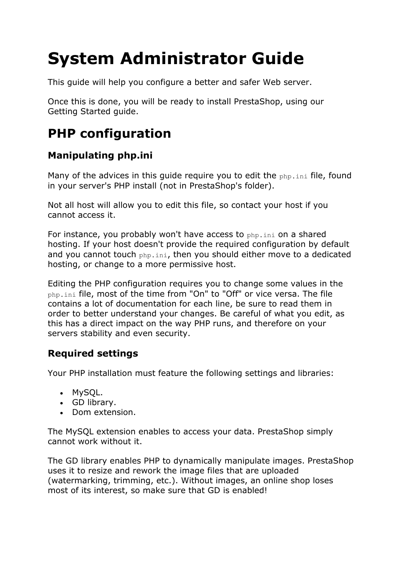# **System Administrator Guide**

This guide will help you configure a better and safer Web server.

Once this is done, you will be ready to install PrestaShop, using our Getting Started guide.

# **PHP configuration**

### **Manipulating php.ini**

Many of the advices in this quide require you to edit the php.ini file, found in your server's PHP install (not in PrestaShop's folder).

Not all host will allow you to edit this file, so contact your host if you cannot access it.

For instance, you probably won't have access to php.ini on a shared hosting. If your host doesn't provide the required configuration by default and you cannot touch php.ini, then you should either move to a dedicated hosting, or change to a more permissive host.

Editing the PHP configuration requires you to change some values in the php.ini file, most of the time from "On" to "Off" or vice versa. The file contains a lot of documentation for each line, be sure to read them in order to better understand your changes. Be careful of what you edit, as this has a direct impact on the way PHP runs, and therefore on your servers stability and even security.

### **Required settings**

Your PHP installation must feature the following settings and libraries:

- MySQL.
- GD library.
- Dom extension.

The MySQL extension enables to access your data. PrestaShop simply cannot work without it.

The GD library enables PHP to dynamically manipulate images. PrestaShop uses it to resize and rework the image files that are uploaded (watermarking, trimming, etc.). Without images, an online shop loses most of its interest, so make sure that GD is enabled!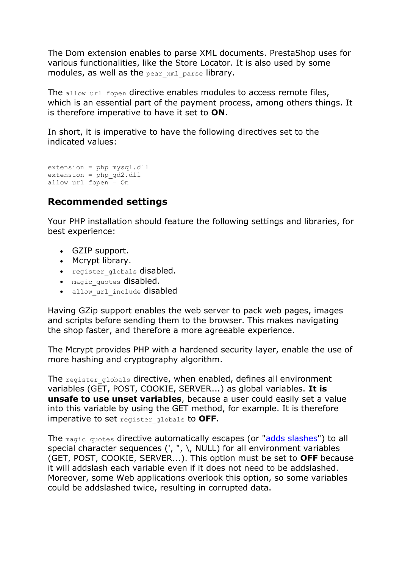The Dom extension enables to parse XML documents. PrestaShop uses for various functionalities, like the Store Locator. It is also used by some modules, as well as the  $_{\text{pear}}$   $_{\text{xml}}$   $_{\text{parse}}$  library.

The allow url fopen directive enables modules to access remote files, which is an essential part of the payment process, among others things. It is therefore imperative to have it set to **ON**.

In short, it is imperative to have the following directives set to the indicated values:

```
extension = php_mysql.dll
extension = php - gd2.dll
allow url fopen = On
```
#### **Recommended settings**

Your PHP installation should feature the following settings and libraries, for best experience:

- GZIP support.
- Mcrypt library.
- register globals disabled.
- magic quotes disabled.
- allow url include disabled

Having GZip support enables the web server to pack web pages, images and scripts before sending them to the browser. This makes navigating the shop faster, and therefore a more agreeable experience.

The Mcrypt provides PHP with a hardened security layer, enable the use of more hashing and cryptography algorithm.

The register globals directive, when enabled, defines all environment variables (GET, POST, COOKIE, SERVER...) as global variables. **It is unsafe to use unset variables**, because a user could easily set a value into this variable by using the GET method, for example. It is therefore imperative to set register\_globals to **OFF**.

The magic quotes directive automatically escapes (or ["adds slashes"](http://php.about.com/od/phpfunctions/g/addslashes_php.htm)) to all special character sequences (', ",  $\setminus$ , NULL) for all environment variables (GET, POST, COOKIE, SERVER...). This option must be set to **OFF** because it will addslash each variable even if it does not need to be addslashed. Moreover, some Web applications overlook this option, so some variables could be addslashed twice, resulting in corrupted data.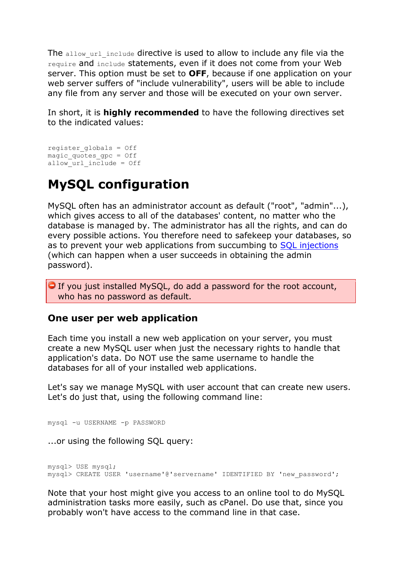The allow url include directive is used to allow to include any file via the require and include statements, even if it does not come from your Web server. This option must be set to **OFF**, because if one application on your web server suffers of "include vulnerability", users will be able to include any file from any server and those will be executed on your own server.

In short, it is **highly recommended** to have the following directives set to the indicated values:

```
register_globals = Off
magic_quotes_gpc = Off
allow url include = Off
```
## **MySQL configuration**

MySQL often has an administrator account as default ("root", "admin"...), which gives access to all of the databases' content, no matter who the database is managed by. The administrator has all the rights, and can do every possible actions. You therefore need to safekeep your databases, so as to prevent your web applications from succumbing to [SQL injections](http://en.wikipedia.org/wiki/SQL_injection) (which can happen when a user succeeds in obtaining the admin password).

 $\Box$  If you just installed MySQL, do add a password for the root account, who has no password as default.

#### **One user per web application**

Each time you install a new web application on your server, you must create a new MySQL user when just the necessary rights to handle that application's data. Do NOT use the same username to handle the databases for all of your installed web applications.

Let's say we manage MySQL with user account that can create new users. Let's do just that, using the following command line:

mysql -u USERNAME -p PASSWORD

...or using the following SQL query:

mysql> USE mysql; mysql> CREATE USER 'username'@'servername' IDENTIFIED BY 'new\_password';

Note that your host might give you access to an online tool to do MySQL administration tasks more easily, such as cPanel. Do use that, since you probably won't have access to the command line in that case.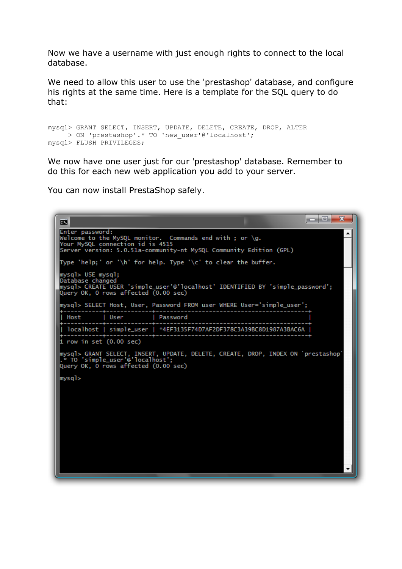Now we have a username with just enough rights to connect to the local database.

We need to allow this user to use the 'prestashop' database, and configure his rights at the same time. Here is a template for the SQL query to do that:

```
mysql> GRANT SELECT, INSERT, UPDATE, DELETE, CREATE, DROP, ALTER
      > ON 'prestashop'.* TO 'new_user'@'localhost';
mysql> FLUSH PRIVILEGES;
```
We now have one user just for our 'prestashop' database. Remember to do this for each new web application you add to your server.

You can now install PrestaShop safely.

```
\begin{array}{c|c|c|c|c} \hline \multicolumn{1}{c|}{\mathbf{1}} & \multicolumn{1}{c|}{\mathbf{1}} & \multicolumn{1}{c|}{\mathbf{2}} & \multicolumn{1}{c|}{\mathbf{3}} & \multicolumn{1}{c|}{\mathbf{4}} & \multicolumn{1}{c|}{\mathbf{5}} & \multicolumn{1}{c|}{\mathbf{6}} & \multicolumn{1}{c|}{\mathbf{7}} & \multicolumn{1}{c|}{\mathbf{8}} & \multicolumn{1}{c|}{\mathbf{9}} & \multicolumn{1}{c|}{\mathbf{1}} & \multicolumn{1}{c|}{\mathbf{1\overline{1}Enter password:<br>Welcome to the MySQL monitor. Commands end with ; or \g.<br>Your MySQL connection id is 4515
Server version: 5.0.51a-community-nt MySQL Community Edition (GPL)
Type 'help;' or '\h' for help. Type '\c' to clear the buffer.
mysql> USE mysql;
Database changed
mysql> CREATE USER 'simple_user'@'localhost' IDENTIFIED BY 'simple_password';
Query OK, 0 rows affected (0.00 sec)
mysql> SELECT Host, User, Password FROM user WHERE User='simple_user';
   Host
                           User
                                                   | Password
   localhost | simple_user | *4EF3135F74D7AF2DF378C3A39BC8D1987A3BAC6A
 1 row in set (0.00 sec)
|<br>|mysql> GRANT SELECT, INSERT, UPDATE, DELETE, CREATE, DROP, INDEX ON `prestashop`<br>|.* TO 'simple_user'@'localhost';<br>|Query OK, O rows affected (0.00 sec)
mysql>
```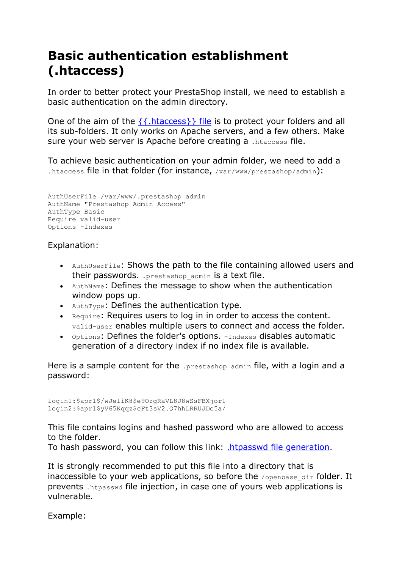# **Basic authentication establishment (.htaccess)**

In order to better protect your PrestaShop install, we need to establish a basic authentication on the admin directory.

One of the aim of the  $\{\{\text{htaccess}\}\}\$  file is to protect your folders and all its sub-folders. It only works on Apache servers, and a few others. Make sure your web server is Apache before creating a .htaccess file.

To achieve basic authentication on your admin folder, we need to add a .htaccess file in that folder (for instance, /var/www/prestashop/admin):

```
AuthUserFile /var/www/.prestashop_admin
AuthName "Prestashop Admin Access"
AuthType Basic
Require valid-user
Options -Indexes
```
#### Explanation:

- AuthUserFile: Shows the path to the file containing allowed users and their passwords. . prestashop admin is a text file.
- AuthName: Defines the message to show when the authentication window pops up.
- $\bullet$  AuthType: Defines the authentication type.
- Require: Requires users to log in in order to access the content. valid-user enables multiple users to connect and access the folder.
- Options: Defines the folder's options. -Indexes disables automatic generation of a directory index if no index file is available.

Here is a sample content for the . prestashop admin file, with a login and a password:

```
login1:$apr1$/wJeliK8$e9OzgRaVL8J8wSsFBXjor1
login2:$apr1$yV65Kqqz$cFt3sV2.Q7hhLRRUJDo5a/
```
This file contains logins and hashed password who are allowed to access to the folder.

To hash password, you can follow this link: [.htpasswd file generation.](http://aspirine.org/htpasswd.html)

It is strongly recommended to put this file into a directory that is inaccessible to your web applications, so before the  $/$ openbase dir folder. It prevents .htpasswd file injection, in case one of yours web applications is vulnerable.

Example: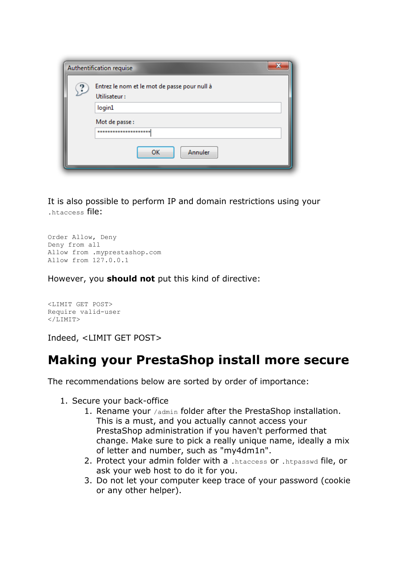| Authentification requise |                                                              |
|--------------------------|--------------------------------------------------------------|
|                          | Entrez le nom et le mot de passe pour null à<br>Utilisateur: |
|                          | login1                                                       |
|                          | Mot de passe :                                               |
|                          | *********************                                        |
|                          | Annuler<br>OK                                                |

It is also possible to perform IP and domain restrictions using your .htaccess file:

```
Order Allow, Deny
Deny from all
Allow from .myprestashop.com
Allow from 127.0.0.1
```
However, you **should not** put this kind of directive:

<LIMIT GET POST> Require valid-user  $\langle$ /LIMIT>

Indeed, <LIMIT GET POST>

### **Making your PrestaShop install more secure**

The recommendations below are sorted by order of importance:

- 1. Secure your back-office
	- 1. Rename your /admin folder after the PrestaShop installation. This is a must, and you actually cannot access your PrestaShop administration if you haven't performed that change. Make sure to pick a really unique name, ideally a mix of letter and number, such as "my4dm1n".
	- 2. Protect your admin folder with a .htaccess or .htpasswd file, or ask your web host to do it for you.
	- 3. Do not let your computer keep trace of your password (cookie or any other helper).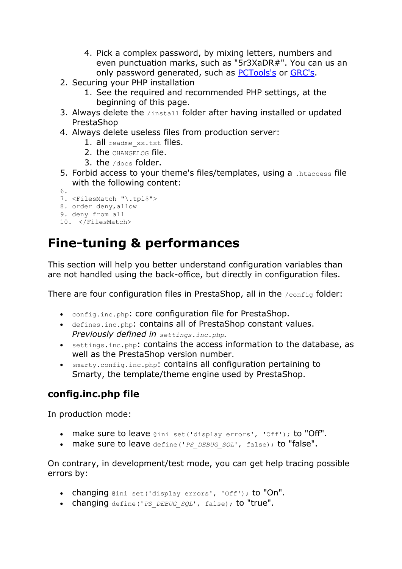- 4. Pick a complex password, by mixing letters, numbers and even punctuation marks, such as "5r3XaDR#". You can us an only password generated, such as [PCTools's](http://www.pctools.com/guides/password/) or [GRC's.](https://www.grc.com/passwords.htm)
- 2. Securing your PHP installation
	- 1. See the required and recommended PHP settings, at the beginning of this page.
- 3. Always delete the /install folder after having installed or updated PrestaShop
- 4. Always delete useless files from production server:
	- 1. all readme xx.txt files.
	- 2. the CHANGELOG file.
	- 3. the  $/$ docs folder.
- 5. Forbid access to your theme's files/templates, using a .htaccess file with the following content:
- 6.

```
7. <FilesMatch "\.tpl$">
```
8. order deny,allow

```
9. deny from all
```

```
10. </FilesMatch>
```
# **Fine-tuning & performances**

This section will help you better understand configuration variables than are not handled using the back-office, but directly in configuration files.

There are four configuration files in PrestaShop, all in the /config folder:

- config.inc.php: core configuration file for PrestaShop.
- defines.inc.php: contains all of PrestaShop constant values. *Previously defined in settings.inc.php.*
- settings.inc.php: contains the access information to the database, as well as the PrestaShop version number.
- smarty.config.inc.php: contains all configuration pertaining to Smarty, the template/theme engine used by PrestaShop.

### **config.inc.php file**

In production mode:

- make sure to leave @ini\_set('display\_errors', 'Off'); to "Off".
- make sure to leave define('*PS\_DEBUG\_SQL*', false); to "false".

On contrary, in development/test mode, you can get help tracing possible errors by:

- changing @ini set('display errors', 'Off'); to "On".
- changing define('*PS\_DEBUG\_SQL*', false); to "true".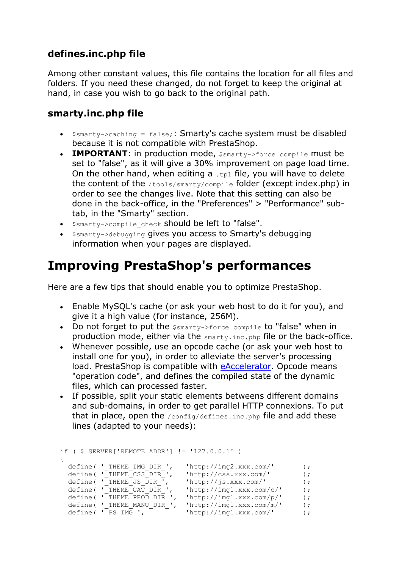### **defines.inc.php file**

Among other constant values, this file contains the location for all files and folders. If you need these changed, do not forget to keep the original at hand, in case you wish to go back to the original path.

#### **smarty.inc.php file**

- $\bullet$  \$smarty->caching = false;: Smarty's cache system must be disabled because it is not compatible with PrestaShop.
- **IMPORTANT**: in production mode,  $\frac{2}{3}$  smarty->force compile must be set to "false", as it will give a 30% improvement on page load time. On the other hand, when editing a  $.tp1$  file, you will have to delete the content of the /tools/smarty/compile folder (except index.php) in order to see the changes live. Note that this setting can also be done in the back-office, in the "Preferences" > "Performance" subtab, in the "Smarty" section.
- $\bullet$   $\sin$  $\arcty$ - $\gt$ compile check should be left to "false".
- Ssmarty->debugging gives you access to Smarty's debugging information when your pages are displayed.

### **Improving PrestaShop's performances**

Here are a few tips that should enable you to optimize PrestaShop.

- Enable MySQL's cache (or ask your web host to do it for you), and give it a high value (for instance, 256M).
- Do not forget to put the  $\frac{2}{3}$   $\frac{2}{3}$   $\frac{2}{3}$   $\frac{2}{3}$   $\frac{2}{3}$   $\frac{2}{3}$   $\frac{2}{3}$   $\frac{2}{3}$   $\frac{2}{3}$   $\frac{2}{3}$   $\frac{2}{3}$   $\frac{2}{3}$   $\frac{2}{3}$   $\frac{2}{3}$   $\frac{2}{3}$   $\frac{2}{3}$   $\frac{2}{3}$   $\frac{2}{3}$   $\frac{2}{3}$   $\frac{2$ production mode, either via the smarty.inc.php file or the back-office.
- Whenever possible, use an opcode cache (or ask your web host to install one for you), in order to alleviate the server's processing load. PrestaShop is compatible with [eAccelerator.](http://eaccelerator.net/) Opcode means "operation code", and defines the compiled state of the dynamic files, which can processed faster.
- If possible, split your static elements betweens different domains and sub-domains, in order to get parallel HTTP connexions. To put that in place, open the /config/defines.inc.php file and add these lines (adapted to your needs):

```
if ( $ SERVER['REMOTE ADDR'] != '127.0.0.1' )
{
define( ' THEME IMG DIR ', 'http://img2.xxx.com/' );
define( 'THEME CSS DIR ', 'http://css.xxx.com/' );
define( 'THEME JS DIR ', 'http://js.xxx.com/' );
define( ' THEME CAT DIR ', 'http://img1.xxx.com/c/' );
define( \overline{'} THEME_PROD_DIR \prime, \overline{'} http://img1.xxx.com/p/' );
```
define( 'THEME MANU DIR ', 'http://img1.xxx.com/m/' ); define( ' PS IMG ', 'http://img1.xxx.com/' );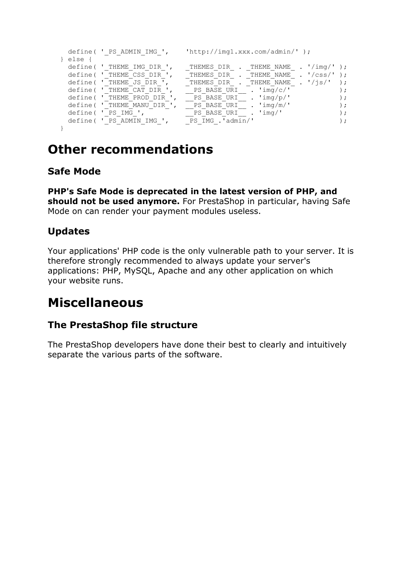```
define( ' PS ADMIN IMG ', 'http://img1.xxx.com/admin/' );
} else { 
define( 'THEME IMG DIR ', T THEMES DIR . THEME NAME . '/img/' );
define( 'THEME CSS DIR ', T THEMES DIR . THEME NAME . '/css/' );
define( 'THEME JS DIR ', TTHEMES DIR . THEME NAME . '/js/' );
define( 'THEME CAT DIR ', \qquad PS BASE URI \qquad . 'img/c/' \qquad );
define( 'THEME PROD DIR ', \qquad PS BASE URI \qquad . 'img/p/' \qquad );
define( 'THEME MANU DIR ', \qquad PS BASE URI \qquad . 'img/m/' \qquad );
define( ' PS IMG ', \qquad \qquad PS BASE URI \qquad . 'img/' \qquad );
define( ' PS ADMIN IMG ',    PS IMG .'admin/' );
}
```
### **Other recommendations**

### **Safe Mode**

**PHP's Safe Mode is deprecated in the latest version of PHP, and should not be used anymore.** For PrestaShop in particular, having Safe Mode on can render your payment modules useless.

### **Updates**

Your applications' PHP code is the only vulnerable path to your server. It is therefore strongly recommended to always update your server's applications: PHP, MySQL, Apache and any other application on which your website runs.

### **Miscellaneous**

#### **The PrestaShop file structure**

The PrestaShop developers have done their best to clearly and intuitively separate the various parts of the software.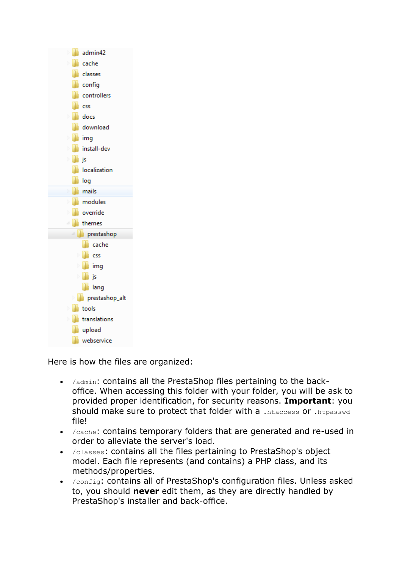

Here is how the files are organized:

- /admin: contains all the PrestaShop files pertaining to the backoffice. When accessing this folder with your folder, you will be ask to provided proper identification, for security reasons. **Important**: you should make sure to protect that folder with a .htaccess or .htpasswd file!
- /cache: contains temporary folders that are generated and re-used in order to alleviate the server's load.
- /classes: contains all the files pertaining to PrestaShop's object model. Each file represents (and contains) a PHP class, and its methods/properties.
- /config: contains all of PrestaShop's configuration files. Unless asked to, you should **never** edit them, as they are directly handled by PrestaShop's installer and back-office.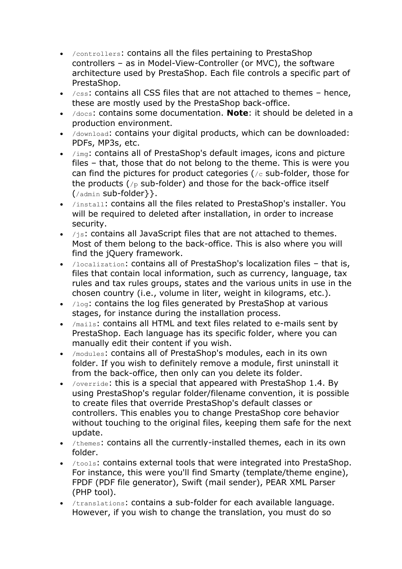- /controllers: contains all the files pertaining to PrestaShop controllers – as in Model-View-Controller (or MVC), the software architecture used by PrestaShop. Each file controls a specific part of PrestaShop.
- $\cdot$  /css: contains all CSS files that are not attached to themes hence, these are mostly used by the PrestaShop back-office.
- /docs: contains some documentation. **Note**: it should be deleted in a production environment.
- /download: contains your digital products, which can be downloaded: PDFs, MP3s, etc.
- /img: contains all of PrestaShop's default images, icons and picture files – that, those that do not belong to the theme. This is were you can find the pictures for product categories ( $/c$  sub-folder, those for the products ( $/p$  sub-folder) and those for the back-office itself (/admin sub-folder}}.
- /install: contains all the files related to PrestaShop's installer. You will be required to deleted after installation, in order to increase security.
- $\bullet$  /js: contains all JavaScript files that are not attached to themes. Most of them belong to the back-office. This is also where you will find the jQuery framework.
- /localization: contains all of PrestaShop's localization files that is, files that contain local information, such as currency, language, tax rules and tax rules groups, states and the various units in use in the chosen country (i.e., volume in liter, weight in kilograms, etc.).
- $\bullet$  /log: contains the log files generated by PrestaShop at various stages, for instance during the installation process.
- /mails: contains all HTML and text files related to e-mails sent by PrestaShop. Each language has its specific folder, where you can manually edit their content if you wish.
- /modules: contains all of PrestaShop's modules, each in its own folder. If you wish to definitely remove a module, first uninstall it from the back-office, then only can you delete its folder.
- /override: this is a special that appeared with PrestaShop 1.4. By using PrestaShop's regular folder/filename convention, it is possible to create files that override PrestaShop's default classes or controllers. This enables you to change PrestaShop core behavior without touching to the original files, keeping them safe for the next update.
- /themes: contains all the currently-installed themes, each in its own folder.
- /tools: contains external tools that were integrated into PrestaShop. For instance, this were you'll find Smarty (template/theme engine), FPDF (PDF file generator), Swift (mail sender), PEAR XML Parser (PHP tool).
- /translations: contains a sub-folder for each available language. However, if you wish to change the translation, you must do so